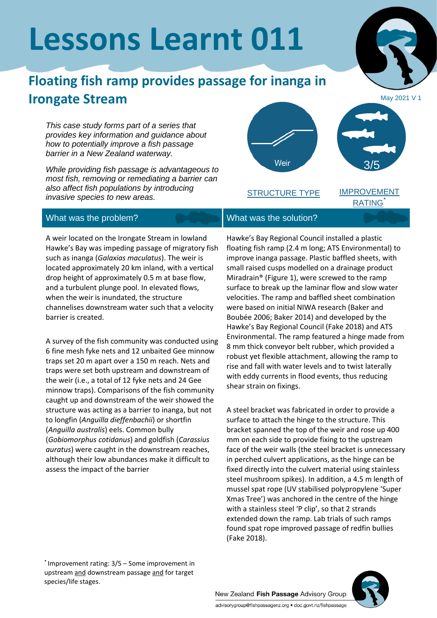# **Lessons Learnt 011**

## **Floating fish ramp provides passage for inanga in Irongate Stream**

*This case study forms part of a series that provides key information and guidance about how to potentially improve a fish passage barrier in a New Zealand waterway.*

*While providing fish passage is advantageous to most fish, removing or remediating a barrier can also affect fish populations by introducing invasive species to new areas.*

#### What was the problem? What was the solution?

A weir located on the Irongate Stream in lowland Hawke's Bay was impeding passage of migratory fish such as inanga (*Galaxias maculatus*). The weir is located approximately 20 km inland, with a vertical drop height of approximately 0.5 m at base flow, and a turbulent plunge pool. In elevated flows, when the weir is inundated, the structure channelises downstream water such that a velocity barrier is created.

A survey of the fish community was conducted using 6 fine mesh fyke nets and 12 unbaited Gee minnow traps set 20 m apart over a 150 m reach. Nets and traps were set both upstream and downstream of the weir (i.e., a total of 12 fyke nets and 24 Gee minnow traps). Comparisons of the fish community caught up and downstream of the weir showed the structure was acting as a barrier to inanga, but not to longfin (*Anguilla dieffenbachii*) or shortfin (*Anguilla australis*) eels. Common bully (*Gobiomorphus cotidanus*) and goldfish (*Carassius auratus*) were caught in the downstream reaches, although their low abundances make it difficult to assess the impact of the barrier

\* Improvement rating: 3/5 – Some improvement in upstream and downstream passage and for target species/life stages.

Hawke's Bay Regional Council installed a plastic floating fish ramp (2.4 m long; ATS Environmental) to improve inanga passage. Plastic baffled sheets, with small raised cusps modelled on a drainage product Miradrain® (Figure 1), were screwed to the ramp surface to break up the laminar flow and slow water velocities. The ramp and baffled sheet combination were based on initial NIWA research (Baker and Boubée 2006; Baker 2014) and developed by the Hawke's Bay Regional Council (Fake 2018) and ATS Environmental. The ramp featured a hinge made from 8 mm thick conveyor belt rubber, which provided a robust yet flexible attachment, allowing the ramp to rise and fall with water levels and to twist laterally with eddy currents in flood events, thus reducing shear strain on fixings.

A steel bracket was fabricated in order to provide a surface to attach the hinge to the structure. This bracket spanned the top of the weir and rose up 400 mm on each side to provide fixing to the upstream face of the weir walls (the steel bracket is unnecessary in perched culvert applications, as the hinge can be fixed directly into the culvert material using stainless steel mushroom spikes). In addition, a 4.5 m length of mussel spat rope (UV stabilised polypropylene 'Super Xmas Tree') was anchored in the centre of the hinge with a stainless steel 'P clip', so that 2 strands extended down the ramp. Lab trials of such ramps found spat rope improved passage of redfin bullies (Fake 2018).

New Zealand Fish Passage Advisory Group advisorygroup@fishpassagenz.org · doc.govt.nz/fishpassage





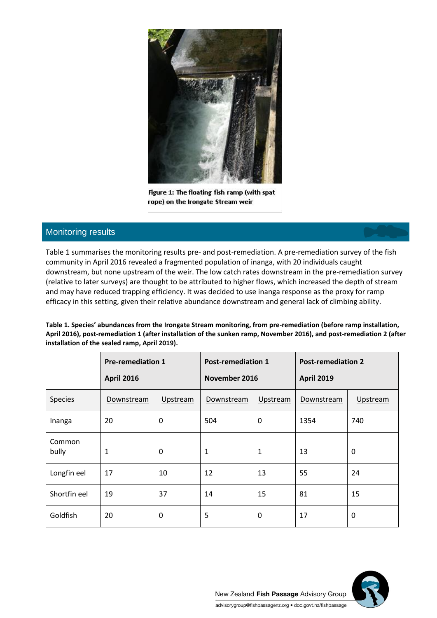

Figure 1: The floating fish ramp (with spat rope) on the Irongate Stream weir

#### Monitoring results

Table 1 summarises the monitoring results pre- and post-remediation. A pre-remediation survey of the fish community in April 2016 revealed a fragmented population of inanga, with 20 individuals caught downstream, but none upstream of the weir. The low catch rates downstream in the pre-remediation survey (relative to later surveys) are thought to be attributed to higher flows, which increased the depth of stream and may have reduced trapping efficiency. It was decided to use inanga response as the proxy for ramp efficacy in this setting, given their relative abundance downstream and general lack of climbing ability.

**Table 1. Species' abundances from the Irongate Stream monitoring, from pre-remediation (before ramp installation, April 2016), post-remediation 1 (after installation of the sunken ramp, November 2016), and post-remediation 2 (after installation of the sealed ramp, April 2019).**

|                 | <b>Pre-remediation 1</b><br><b>April 2016</b> |          | <b>Post-remediation 1</b><br>November 2016 |              | <b>Post-remediation 2</b><br><b>April 2019</b> |          |
|-----------------|-----------------------------------------------|----------|--------------------------------------------|--------------|------------------------------------------------|----------|
| Species         | Downstream                                    | Upstream | Downstream                                 | Upstream     | Downstream                                     | Upstream |
| Inanga          | 20                                            | 0        | 504                                        | $\mathbf 0$  | 1354                                           | 740      |
| Common<br>bully | $\mathbf 1$                                   | 0        | $\mathbf{1}$                               | 1            | 13                                             | 0        |
| Longfin eel     | 17                                            | 10       | 12                                         | 13           | 55                                             | 24       |
| Shortfin eel    | 19                                            | 37       | 14                                         | 15           | 81                                             | 15       |
| Goldfish        | 20                                            | 0        | 5                                          | $\mathbf{0}$ | 17                                             | 0        |

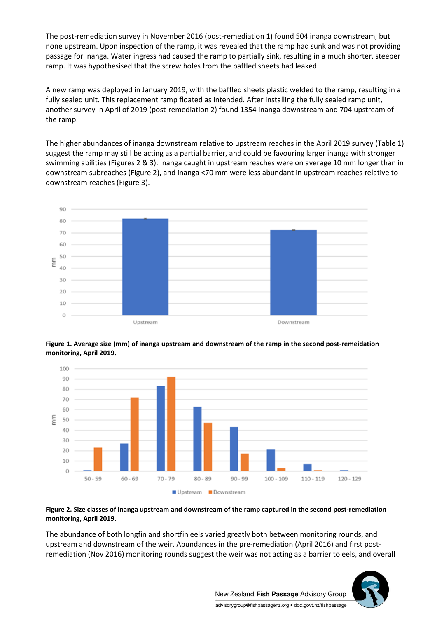The post-remediation survey in November 2016 (post-remediation 1) found 504 inanga downstream, but none upstream. Upon inspection of the ramp, it was revealed that the ramp had sunk and was not providing passage for inanga. Water ingress had caused the ramp to partially sink, resulting in a much shorter, steeper ramp. It was hypothesised that the screw holes from the baffled sheets had leaked.

A new ramp was deployed in January 2019, with the baffled sheets plastic welded to the ramp, resulting in a fully sealed unit. This replacement ramp floated as intended. After installing the fully sealed ramp unit, another survey in April of 2019 (post-remediation 2) found 1354 inanga downstream and 704 upstream of the ramp.

The higher abundances of inanga downstream relative to upstream reaches in the April 2019 survey (Table 1) suggest the ramp may still be acting as a partial barrier, and could be favouring larger inanga with stronger swimming abilities (Figures 2 & 3). Inanga caught in upstream reaches were on average 10 mm longer than in downstream subreaches (Figure 2), and inanga <70 mm were less abundant in upstream reaches relative to downstream reaches (Figure 3).







#### **Figure 2. Size classes of inanga upstream and downstream of the ramp captured in the second post-remediation monitoring, April 2019.**

The abundance of both longfin and shortfin eels varied greatly both between monitoring rounds, and upstream and downstream of the weir. Abundances in the pre-remediation (April 2016) and first postremediation (Nov 2016) monitoring rounds suggest the weir was not acting as a barrier to eels, and overall



New Zealand Fish Passage Advisory Group advisorygroup@fishpassagenz.org · doc.govt.nz/fishpassage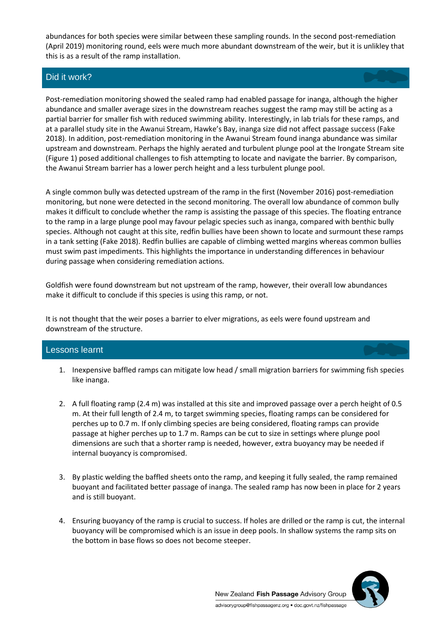abundances for both species were similar between these sampling rounds. In the second post-remediation (April 2019) monitoring round, eels were much more abundant downstream of the weir, but it is unlikley that this is as a result of the ramp installation.

### Did it work?

Post-remediation monitoring showed the sealed ramp had enabled passage for inanga, although the higher abundance and smaller average sizes in the downstream reaches suggest the ramp may still be acting as a partial barrier for smaller fish with reduced swimming ability. Interestingly, in lab trials for these ramps, and at a parallel study site in the Awanui Stream, Hawke's Bay, inanga size did not affect passage success (Fake 2018). In addition, post-remediation monitoring in the Awanui Stream found inanga abundance was similar upstream and downstream. Perhaps the highly aerated and turbulent plunge pool at the Irongate Stream site (Figure 1) posed additional challenges to fish attempting to locate and navigate the barrier. By comparison, the Awanui Stream barrier has a lower perch height and a less turbulent plunge pool.

A single common bully was detected upstream of the ramp in the first (November 2016) post-remediation monitoring, but none were detected in the second monitoring. The overall low abundance of common bully makes it difficult to conclude whether the ramp is assisting the passage of this species. The floating entrance to the ramp in a large plunge pool may favour pelagic species such as inanga, compared with benthic bully species. Although not caught at this site, redfin bullies have been shown to locate and surmount these ramps in a tank setting (Fake 2018). Redfin bullies are capable of climbing wetted margins whereas common bullies must swim past impediments. This highlights the importance in understanding differences in behaviour during passage when considering remediation actions.

Goldfish were found downstream but not upstream of the ramp, however, their overall low abundances make it difficult to conclude if this species is using this ramp, or not.

It is not thought that the weir poses a barrier to elver migrations, as eels were found upstream and downstream of the structure.

#### Lessons learnt

- 1. Inexpensive baffled ramps can mitigate low head / small migration barriers for swimming fish species like inanga.
- 2. A full floating ramp (2.4 m) was installed at this site and improved passage over a perch height of 0.5 m. At their full length of 2.4 m, to target swimming species, floating ramps can be considered for perches up to 0.7 m. If only climbing species are being considered, floating ramps can provide passage at higher perches up to 1.7 m. Ramps can be cut to size in settings where plunge pool dimensions are such that a shorter ramp is needed, however, extra buoyancy may be needed if internal buoyancy is compromised.
- 3. By plastic welding the baffled sheets onto the ramp, and keeping it fully sealed, the ramp remained buoyant and facilitated better passage of inanga. The sealed ramp has now been in place for 2 years and is still buoyant.
- 4. Ensuring buoyancy of the ramp is crucial to success. If holes are drilled or the ramp is cut, the internal buoyancy will be compromised which is an issue in deep pools. In shallow systems the ramp sits on the bottom in base flows so does not become steeper.